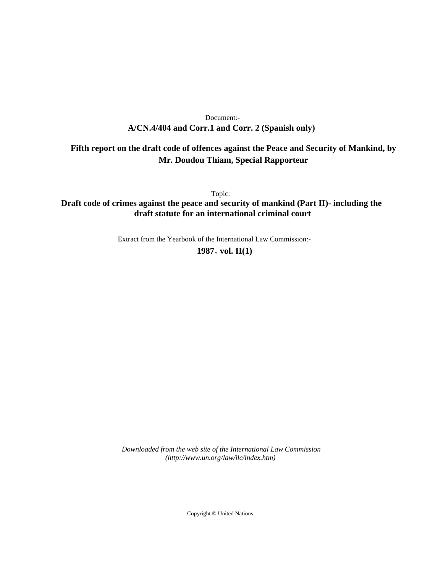# **A/CN.4/404 and Corr.1 and Corr. 2 (Spanish only)** Document:-

# **Fifth report on the draft code of offences against the Peace and Security of Mankind, by Mr. Doudou Thiam, Special Rapporteur**

Topic:

**Draft code of crimes against the peace and security of mankind (Part II)- including the draft statute for an international criminal court**

Extract from the Yearbook of the International Law Commission:-

**1987** , **vol. II(1)**

*Downloaded from the web site of the International Law Commission (http://www.un.org/law/ilc/index.htm)*

Copyright © United Nations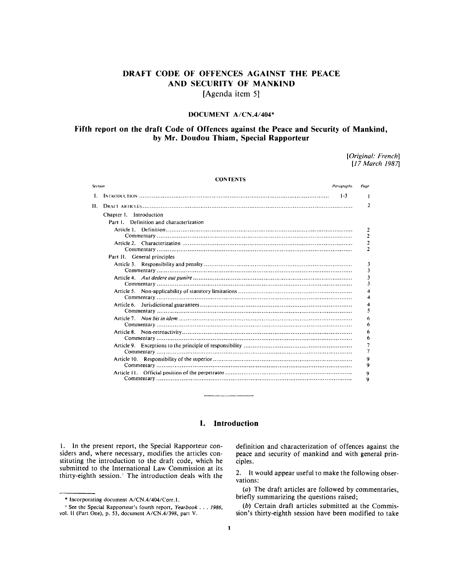# **DRAFT CODE OF OFFENCES AGAINST THE PEACE AND SECURITY OF MANKIND**

**[Agenda item 5]**

# DOCUMENT A/CN.4/404\*

# **Fifth report on the draft Code of Offences against the Peace and Security of Mankind, by Mr. Doudou Thiam, Special Rapporteur**

*[Original: French] [17 March 1987]*

| <b>CONTENTS</b> |                                         |                                  |
|-----------------|-----------------------------------------|----------------------------------|
| Section         | Paragraphs                              | Page                             |
| Ι.              | $1-3$                                   |                                  |
| 11.             |                                         | 2                                |
|                 | Chapter 1. Introduction                 |                                  |
|                 | Part 1. Definition and characterization |                                  |
|                 |                                         | $\overline{2}$                   |
|                 |                                         | $\overline{2}$<br>$\overline{2}$ |
|                 |                                         | $\overline{2}$                   |
|                 | Part II. General principles             |                                  |
|                 |                                         | 3                                |
|                 |                                         | 3                                |
|                 |                                         | 3<br>3                           |
|                 |                                         | 4                                |
|                 | Article 6.                              | 5                                |
|                 |                                         | 6<br>6                           |
|                 |                                         | 6<br>6                           |
|                 |                                         | 7                                |
|                 |                                         | 9<br>9                           |
|                 |                                         | 9<br>9                           |

# **I. Introduction**

1. In the present report, the Special Rapporteur considers and, where necessary, modifies the articles constituting the introduction to the draft code, which he submitted to the International Law Commission at its thirty-eighth session.' The introduction deals with the

\* Incorporating document A/CN.4/404/Corr.l.

definition and characterization of offences against the peace and security of mankind and with general principles.

2. It would appear useful to make the following observations:

*(a)* The draft articles are followed by commentaries, briefly summarizing the questions raised;

*(b)* Certain draft articles submitted at the Commission's thirty-eighth session have been modified to take

<sup>1</sup> See the Special Rapporteur's fourth report, *Yearbook 1986,* vol. II (Part One), p. 53, document A/CN.4/398, part V.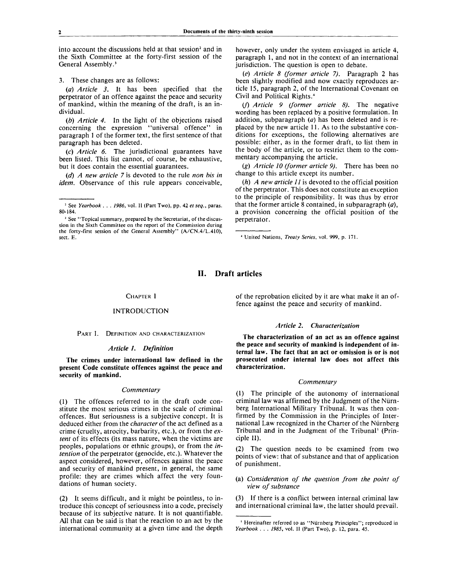into account the discussions held at that session<sup>2</sup> and in the Sixth Committee at the forty-first session of the General Assembly.<sup>3</sup>

3. These changes are as follows:

*(a) Article 3.* It has been specified that the perpetrator of an offence against the peace and security of mankind, within the meaning of the draft, is an individual.

*(b) Article 4.* In the light of the objections raised concerning the expression "universal offence" in paragraph 1 of the former text, the first sentence of that paragraph has been deleted.

(c) *Article 6.* The jurisdictional guarantees have been listed. This list cannot, of course, be exhaustive, but it does contain the essential guarantees.

*(d) A new article* 7 is devoted to the rule *non bis in idem.* Observance of this rule appears conceivable,

however, only under the system envisaged in article 4, paragraph 1, and not in the context of an international jurisdiction. The question is open to debate.

*(e) Article 8 (former article 7).* Paragraph 2 has been slightly modified and now exactly reproduces article 15, paragraph 2, of the International Covenant on Civil and Political Rights.<sup>4</sup>

(/) *Article 9 (former article 8).* The negative wording has been replaced by a positive formulation. In addition, subparagraph *{a)* has been deleted and is replaced by the new article 11. As to the substantive conditions for exceptions, the following alternatives are possible: either, as in the former draft, to list them in the body of the article, or to restrict them to the commentary accompanying the article.

(g) *Article 10 (former article 9).* There has been no change to this article except its number.

(h) *A new article 11* is devoted to the official position of the perpetrator. This does not constitute an exception to the principle of responsibility. It was thus by error that the former article 8 contained, in subparagraph *(a),* a provision concerning the official position of the perpetrator.

# **II. Draft articles**

#### CHAPTER I

# INTRODUCTION

PART I. DEFINITION AND CHARACTERIZATION

#### *Article I. Definition*

**The crimes under international law defined in the present Code constitute offences against the peace and security of mankind.**

### *Commentary*

(1) The offences referred to in the draft code constitute the most serious crimes in the scale of criminal offences. But seriousness is a subjective concept. It is deduced either from the *character* of the act defined as a crime (cruelty, atrocity, barbarity, etc.), or from the *extent* of its effects (its mass nature, when the victims are peoples, populations or ethnic groups), or from the *intention* of the perpetrator (genocide, etc.). Whatever the aspect considered, however, offences against the peace and security of mankind present, in general, the same profile: they are crimes which affect the very foundations of human society.

(2) It seems difficult, and it might be pointless, to introduce this concept of seriousness into a code, precisely because of its subjective nature. It is not quantifiable. All that can be said is that the reaction to an act by the international community at a given time and the depth

of the reprobation elicited by it are what make it an offence against the peace and security of mankind.

## *Article 2. Characterization*

**The characterization of an act as an offence against the peace and security of mankind is independent of internal law. The fact that an act or omission is or is not prosecuted under internal law does not affect this characterization.**

#### **Commentary**

(1) The principle of the autonomy of international criminal law was affirmed by the Judgment of the Niirnberg International Military Tribunal. It was then confirmed by the Commission in the Principles of International Law recognized in the Charter of the Niirnberg Tribunal and in the Judgment of the Tribunal<sup>5</sup> (Principle II).

(2) The question needs to be examined from two points of view: that of substance and that of application of punishment.

(a) *Consideration of the question from the point of view of substance*

(3) If there is a conflict between internal criminal law and international criminal law, the latter should prevail.

<sup>2</sup> See *Yearbook .* . . *1986,* vol. II (Part Two), pp. 42 *et seq.,* paras. 80-184.

<sup>&</sup>lt;sup>3</sup> See "Topical summary, prepared by the Secretariat, of the discussion in the Sixth Committee on the report of the Commission during the forty-first session of the General Assembly" (A/CN.4/L.410), sect. E.

<sup>4</sup> United Nations, *Treaty Series,* vol. 999, p. 171.

<sup>&</sup>lt;sup>5</sup> Hereinafter referred to as "Nürnberg Principles"; reproduced in *Yearbook . . . 1985,* vol. II (Part Two), p. 12, para. 45.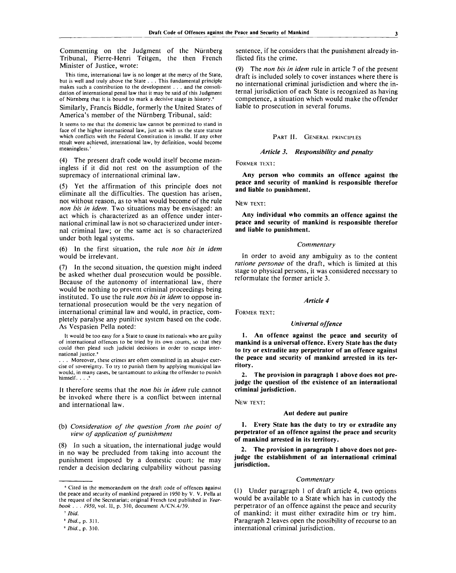Commenting on the Judgment of the Nurnberg Tribunal, Pierre-Henri Teitgen, the then French Minister of Justice, wrote:

This time, international law is no longer at the mercy of the State, but is well and truly above the State . . . This fundamental principle makes such a contribution to the development . . . and the consolidation of international penal law that it may be said of this Judgment of Nurnberg that it is bound to mark a decisive stage in history.<sup>6</sup>

Similarly, Francis Biddle, formerly the United States of America's member of the Nurnberg Tribunal, said:

It seems to me that the domestic law cannot be permitted to stand in face of the higher international law, just as with us the state statute which conflicts with the Federal Constitution is invalid. If any other result were achieved, international law, by definition, would become meaningless.<sup>7</sup>

(4) The present draft code would itself become meaningless if it did not rest on the assumption of the supremacy of international criminal law.

(5) Yet the affirmation of this principle does not eliminate all the difficulties. The question has arisen, not without reason, as to what would become of the rule *non bis in idem.* Two situations may be envisaged: an act which is characterized as an offence under international criminal law is not so characterized under internal criminal law; or the same act is so characterized under both legal systems.

(6) In the first situation, the rule *non bis in idem* would be irrelevant.

(7) In the second situation, the question might indeed be asked whether dual prosecution would be possible. Because of the autonomy of international law, there would be nothing to prevent criminal proceedings being instituted. To use the rule *non bis in idem* to oppose international prosecution would be the very negation of international criminal law and would, in practice, completely paralyse any punitive system based on the code. As Vespasien Pella noted:

It would be too easy for a State to cause its nationals who are guilty of international offences to be tried by its own courts, so that they could then plead such judicial decisions in order to escape international justice.<sup>8</sup>

. . . Moreover, these crimes are often committed in an abusive exercise of sovereignty. To try to punish them by applying municipal law would, in many cases, be tantamount to asking the offender to punish<br>himself himself. . . .

It therefore seems that the *non bis in idem* rule cannot be invoked where there is a conflict between internal and international law.

## (b) *Consideration of the question from the point of view of application of punishment*

(8) In such a situation, the international judge would in no way be precluded from taking into account the punishment imposed by a domestic court: he may render a decision declaring culpability without passing

sentence, if he considers that the punishment already inflicted fits the crime.

The *non bis in idem* rule in article 7 of the present draft is included solely to cover instances where there is no international criminal jurisdiction and where the internal jurisdiction of each State is recognized as having competence, a situation which would make the offender liable to prosecution in several forums.

# PART II. GENERAL PRINCIPLES

# *Article 3. Responsibility and penalty*

FORMER TEXT :

**Any person who commits an offence against the peace and security of mankind is responsible therefor and liable to punishment.**

#### NEW TEXT:

**Any individual who commits an offence against the peace and security of mankind is responsible therefor and liable to punishment.**

#### *Commentary*

In order to avoid any ambiguity as to the content *ratione personae* of the draft, which is limited at this stage to physical persons, it was considered necessary to reformulate the former article 3.

#### *Article 4*

FORMER TEXT:

# *Universal offence*

**1. An offence against the peace and security of mankind is a universal offence. Every State has the duty to try or extradite any perpetrator of an offence against the peace and security of mankind arrested in its territory.**

**2. The provision in paragraph 1 above does not prejudge the question of the existence of an international criminal jurisdiction.**

NEW TEXT:

#### **Aut dedere aut punire**

**1. Every State has the duty to try or extradite any perpetrator of an offence against the peace and security of mankind arrested in its territory.**

**2. The provision in paragraph 1 above does not prejudge the establishment of an international criminal jurisdiction.**

#### *Commentary*

(1) Under paragraph 1 of draft article 4, two options would be available to a State which has in custody the perpetrator of an offence against the peace and security of mankind: it must either extradite him or try him. Paragraph 2 leaves open the possibility of recourse to an international criminal jurisdiction.

<sup>6</sup> Cited in the memorandum on the draft code of offences against the peace and security of mankind prepared in 1950 by V. V. Pella at the request of the Secretariat; original French text published in *Yearbook . . . 1950,* vol. II, p. 310, document A/CN.4/39.

<sup>7</sup>  *Ibid.*

<sup>8</sup>  *Ibid.,* p. 311.

<sup>•</sup> *Ibid.,* p. 310.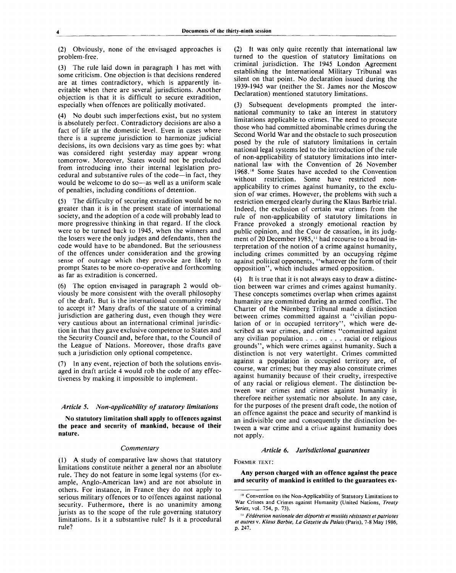(2) Obviously, none of the envisaged approaches is problem-free.

(3) The rule laid down in paragraph 1 has met with some criticism. One objection is that decisions rendered are at times contradictory, which is apparently inevitable when there are several jurisdictions. Another objection is that it is difficult to secure extradition, especially when offences are politically motivated.

(4) No doubt such imperfections exist, but no system is absolutely perfect. Contradictory decisions are also a fact of life at the domestic level. Even in cases where there is a supreme jurisdiction to harmonize judicial decisions, its own decisions vary as time goes by: what was considered right yesterday may appear wrong tomorrow. Moreover, States would not be precluded from introducing into their internal legislation procedural and substantive rules of the code—in fact, they would be welcome to do so—as well as a uniform scale of penalties, including conditions of detention.

(5) The difficulty of securing extradition would be no greater than it is in the present state of international society, and the adoption of a code will probably lead to more progressive thinking in that regard. If the clock were to be turned back to 1945, when the winners and the losers were the only judges and defendants, then the code would have to be abandoned. But the seriousness of the offences under consideration and the growing sense of outrage which they provoke are likely to prompt States to be more co-operative and forthcoming as far as extradition is concerned.

(6) The option envisaged in paragraph 2 would obviously be more consistent with the overall philosophy of the draft. But is the international community ready to accept it? Many drafts of the statute of a criminal jurisdiction are gathering dust, even though they were very cautious about an international criminal jurisdiction in that they gave exclusive competence to States and the Security Council and, before that, to the Council of the League of Nations. Moreover, those drafts gave such a jurisdiction only optional competence.

(7) In any event, rejection of both the solutions envisaged in draft article 4 would rob the code of any effectiveness by making it impossible to implement.

#### *Article* 5. *Non-applicability of statutory limitations*

**No statutory limitation shall apply to offences against the peace and security of mankind, because of their nature.**

#### *Commentary*

(1) A study of comparative law shows that statutory limitations constitute neither a general nor an absolute rule. They do not feature in some legal systems (for example, Anglo-American law) and are not absolute in others. For instance, in France they do not apply to serious military offences or to offences against national security. Futhermore, there is no unanimity among jurists as to the scope of the rule governing statutory limitations. Is it a substantive rule? Is it a procedural rule?

(2) It was only quite recently that international law turned to the question of statutory limitations on criminal jurisdiction. The 1945 London Agreement establishing the International Military Tribunal was silent on that point. No declaration issued during the 1939-1945 war (neither the St. James nor the Moscow Declaration) mentioned statutory limitations.

Subsequent developments prompted the international community to take an interest in statutory limitations applicable to crimes. The need to prosecute those who had committed abominable crimes during the Second World War and the obstacle to such prosecution posed by the rule of statutory limitations in certain national legal systems led to the introduction of the rule of non-applicability of statutory limitations into international law with the Convention of 26 November 1968.<sup>10</sup> Some States have acceded to the Convention without restriction. Some have restricted nonapplicability to crimes against humanity, to the exclusion of war crimes. However, the problems with such a restriction emerged clearly during the Klaus Barbie trial. Indeed, the exclusion of certain war crimes from the rule of non-applicability of statutory limitations in France provoked a strongly emotional reaction by public opinion, and the Cour de cassation, in its judgment of 20 December 1985," had recourse to a broad interpretation of the notion of a crime against humanity, including crimes committed by an occupying régime against political opponents, "whatever the form of their opposition", which includes armed opposition.

(4) It is true that it is not always easy to draw a distinction between war crimes and crimes against humanity. These concepts sometimes overlap when crimes against humanity are committed during an armed conflict. The Charter of the Niirnberg Tribunal made a distinction between crimes committed against a "civilian population of or in occupied territory", which were described as war crimes, and crimes "committed against any civilian population .. . on .. . racial or religious grounds", which were crimes against humanity. Such a distinction is not very watertight. Crimes committed against a population in occupied territory are, of course, war crimes; but they may also constitute crimes against humanity because of their cruelty, irrespective of any racial or religious element. The distinction between war crimes and crimes against humanity is therefore neither systematic nor absolute. In any case, for the purposes of the present draft code, the notion of an offence against the peace and security of mankind is an indivisible one and consequently the distinction between a war crime and a crime against humanity does not apply.

#### *Article 6. Jurisdictional guarantees*

FORMER TEXT:

**Any person charged with an offence against the peace and security of mankind is entitled to the guarantees ex-**

<sup>10</sup> Convention on the Non-Applicability of Statutory Limitations to War Crimes and Crimes against Humanity (United Nations, *Treaty Series,* vol. 754, p. 73).

<sup>&#</sup>x27;' *Federation nationale des d&portes et mutiles resistants et patriotes et autres* v. *Klaus Barbie, La Gazette du Palais* (Paris), 7-8 May 1986, **p.** 247.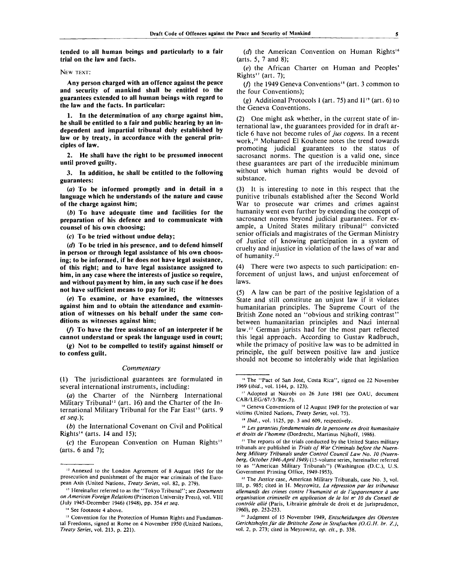**tended to all human beings and particularly to a fair trial on the law and facts.**

NEW TEXT:

**Any person charged with an offence against the peace and security of mankind shall be entitled to the guarantees extended to all human beings with regard to the law and the facts. In particular:**

**1. In the determination of any charge against him, he shall be entitled to a fair and public hearing by an independent and impartial tribunal duly established by law or by treaty, in accordance with the general principles of law.**

**2. He shall have the right to be presumed innocent until proved guilty.**

**3. In addition, he shall be entitled to the following guarantees:**

**(a) To be informed promptly and in detail in a language which he understands of the nature and cause of the charge against him;**

*(b)* **To have adequate time and facilities for the preparation of his defence and to communicate with counsel of his own choosing;**

*(c)* **To be tried without undue delay;**

*(d)* **To be tried in his presence, and to defend himself in person or through legal assistance of his own choosing; to be informed, if he does not have legal assistance, of this right; and to have legal assistance assigned to him, in any case where the interests of justice so require, and without payment by him, in any such case if he does not have sufficient means to pay for it;**

*(e)* **To examine, or have examined, the witnesses against him and to obtain the attendance and examination of witnesses on his behalf under the same conditions as witnesses against him;**

**(/) To have the free assistance of an interpreter if he cannot understand or speak the language used in court;**

*(g)* **Not to be compelled to testify against himself or to confess guilt.**

#### *Commentary*

(1) The jurisdictional guarantees are formulated in several international instruments, including:

*(a)* the Charter of the Niirnberg International Military Tribunal<sup>12</sup> (art. 16) and the Charter of the International Military Tribunal for the Far East<sup>13</sup> (arts. 9 *et seq.)\*

*(b)* the International Covenant on Civil and Political Rights<sup>14</sup> (arts. 14 and 15);

(c) the European Convention on Human Rights<sup>15</sup> (arts. 6 and 7);

14 See footnote 4 above.

*(d)* the American Convention on Human Rights'<sup>6</sup> (arts. 5, 7 and 8);

(e) the African Charter on Human and Peoples' Rights<sup>17</sup> (art. 7);

(f) the 1949 Geneva Conventions<sup>18</sup> (art. 3 common to the four Conventions);

(g) Additional Protocols 1 (art. 75) and Il<sup>19</sup> (art. 6) to the Geneva Conventions.

(2) One might ask whether, in the current state of international law, the guarantees provided for in draft article 6 have not become rules of *jus cogens.* In a recent work,<sup>20</sup> Mohamed El Kouhene notes the trend towards promoting judicial guarantees to the status of sacrosanct norms. The question is a valid one, since these guarantees are part of the irreducible minimum without which human rights would be devoid of substance.

(3) It is interesting to note in this respect that the punitive tribunals established after the Second World War to prosecute war crimes and crimes against humanity went even further by extending the concept of sacrosanct norms beyond judicial guarantees. For example, a United States military tribunal<sup>21</sup> convicted senior officials and magistrates of the German Ministry of Justice of knowing participation in a system of cruelty and injustice in violation of the laws of war and of humanity.<sup>22</sup>

(4) There were two aspects to such participation: enforcement of unjust laws, and unjust enforcement of laws.

(5) A law can be part of the positive legislation of a State and still constitute an unjust law if it violates humanitarian principles. The Supreme Court of the British Zone noted an "obvious and striking contrast" between humanitarian principles and Nazi internal law.<sup>23</sup> German jurists had for the most part reflected this legal approach. According to Gustav Radbruch, while the primacy of positive law was to be admitted in principle, the gulf between positive law and justice should not become so intolerably wide that legislation

20  *Les garanties fondamentales de la personne en droit humanitaire et droits de I'homme* (Dordrecht, Martinus Nijhoff, 1986).

<sup>&</sup>lt;sup>12</sup> Annexed to the London Agreement of 8 August 1945 for the prosecution and punishment of the major war criminals of the European Axis (United Nations, *Treaty Series,* vol. 82, p. 279).

<sup>13</sup> Hereinafter referred to as the "Tokyo Tribunal"; see *Documents on American Foreign Relations* (Princeton University Press), vol. VIII (July 1945-December 1946) (1948), pp. 354 *et seq.*

<sup>&</sup>lt;sup>15</sup> Convention for the Protection of Human Rights and Fundamental Freedoms, signed at Rome on 4 November 1950 (United Nations, *Treaty Series,* vol. 213, p. 221).

<sup>&</sup>lt;sup>16</sup> The "Pact of San José, Costa Rica", signed on 22 November *1969 (ibid.,* vol. 1144, p. 123).

<sup>&</sup>lt;sup>17</sup> Adopted at Nairobi on 26 June 1981 (see OAU, document CAB/LEG/67/3/Rev.5).

<sup>&</sup>lt;sup>18</sup> Geneva Conventions of 12 August 1949 for the protection of war victims (United Nations, *Treaty Series,* vol. 75).

<sup>&</sup>quot; *Ibid.,* vol. 1125, pp. 3 and 609, respectively.

<sup>&</sup>lt;sup>21</sup> The reports of the trials conducted by the United States military tribunals are published in *Trials of War Criminals before the Nuernberg Military Tribunals under Control Council Law No. 10 (Nuernberg, October 1946-April 1949)* (15-volume series, hereinafter referred to as "American Military Tribunals") (Washington (D.C.), U.S. Government Printing Office, 1949-1953).

<sup>&</sup>lt;sup>22</sup> The Justice case, American Military Tribunals, case No. 3, vol. Ill, p. 985; cited in H. Meyrowitz, *La repression par les tribunaux allemands des crimes contre I'humanite et de Vappartenance a une organisation criminelle en application de la loi n° 10 du Conseil de* contrôle allié (Paris, Librairie générale de droit et de jurisprudence, 1960), pp. 252-253.

<sup>23</sup> Judgment of 15 November 1949, *Entscheidungen des Obersten Gerichtshofes fur die Britische Zone in Strafsachen (O.G.H. br. Z.),* vol. 2, p. 273; cited in Meyrowitz, *op. cit.,* p. 338.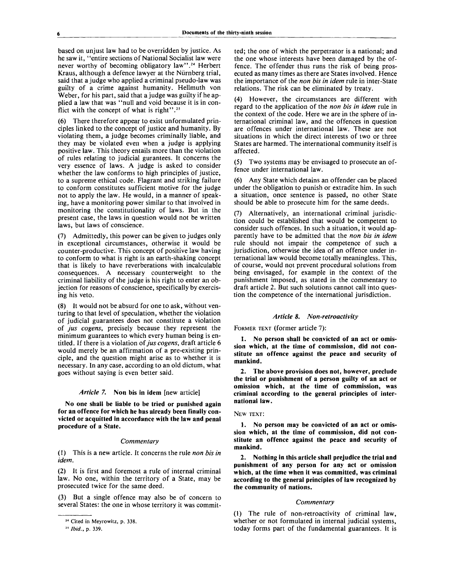based on unjust law had to be overridden by justice. As he saw it, "entire sections of National Socialist law were never worthy of becoming obligatory law".<sup>24</sup> Herbert Kraus, although a defence lawyer at the Niirnberg trial, said that a judge who applied a criminal pseudo-law was guilty of a crime against humanity. Hellmuth von Weber, for his part, said that a judge was guilty if he applied a law that was "null and void because it is in conflict with the concept of what is right".<sup>25</sup>

(6) There therefore appear to exist unformulated principles linked to the concept of justice and humanity. By violating them, a judge becomes criminally liable, and they may be violated even when a judge is applying positive law. This theory entails more than the violation of rules relating to judicial gurantees. It concerns the very essence of laws. A judge is asked to consider whether the law conforms to high principles of justice, to a supreme ethical code. Flagrant and striking failure to conform constitutes sufficient motive for the judge not to apply the law. He would, in a manner of speaking, have a monitoring power similar to that involved in monitoring the constitutionality of laws. But in the present case, the laws in question would not be written laws, but laws of conscience.

(7) Admittedly, this power can be given to judges only in exceptional circumstances, otherwise it would be counter-productive. This concept of positive law having to conform to what is right is an earth-shaking concept that is likely to have reverberations with incalculable consequences. A necessary counterweight to the criminal liability of the judge is his right to enter an objection for reasons of conscience, specifically by exercising his veto.

(8) It would not be absurd for one to ask, without venturing to that level of speculation, whether the violation of judicial guarantees does not constitute a violation of *jus cogens,* precisely because they represent the minimum guarantees to which every human being is entitled. If there is a violation of *jus cogens,* draft article 6 would merely be an affirmation of a pre-existing principle, and the question might arise as to whether it is necessary. In any case, according to an old dictum, what goes without saying is even better said.

#### *Article* 7. **Non bis in idem** [new article]

**No one shall be liable to be tried or punished again for an offence for which he has already been finally convicted or acquitted in accordance with the law and penal procedure of a State.**

#### *Commentary*

(1) This is a new article. It concerns the rule *non bis in idem.*

(2) It is first and foremost a rule of internal criminal law. No one, within the territory of a State, may be prosecuted twice for the same deed.

(3) But a single offence may also be of concern to several States: the one in whose territory it was commit-

ted; the one of which the perpetrator is a national; and the one whose interests have been damaged by the offence. The offender thus runs the risk of being prosecuted as many times as there are States involved. Hence the importance of the *non bis in idem* rule in inter-State relations. The risk can be eliminated by treaty.

(4) However, the circumstances are different with regard to the application of the *non bis in idem* rule in the context of the code. Here we are in the sphere of international criminal law, and the offences in question are offences under international law. These are not situations in which the direct interests of two or three States are harmed. The international community itself is affected.

(5) Two systems may be envisaged to prosecute an offence under international law.

(6) Any State which detains an offender can be placed under the obligation to punish or extradite him. In such a situation, once sentence is passed, no other State should be able to prosecute him for the same deeds.

Alternatively, an international criminal jurisdiction could be established that would be competent to consider such offences. In such a situation, it would apparently have to be admitted that the *non bis in idem* rule should not impair the competence of such a jurisdiction, otherwise the idea of an offence under international law would become totally meaningless. This, of course, would not prevent procedural solutions from being envisaged, for example in the context of the punishment imposed, as stated in the commentary to draft article 2. But such solutions cannot call into question the competence of the international jurisdiction.

#### *Article 8. Non-retroactivity*

FORMER TEXT (former article 7):

**1. No person shall be convicted of an act or omission which, at the time of commission, did not constitute an offence against the peace and security of mankind.**

**2. The above provision does not, however, preclude the trial or punishment of a person guilty of an act or omission which, at the time of commission, was criminal according to the general principles of international law.**

#### NEW TEXT:

**1. No person may be convicted of an act or omission which, at the time of commission, did not constitute an offence against the peace and security of mankind.**

**2. Nothing in this article shall prejudice the trial and punishment of any person for any act or omission which, at the time when it was committed, was criminal according to the general principles of law recognized by the community of nations.**

#### *Commentary*

(1) The rule of non-retroactivity of criminal law, whether or not formulated in internal judicial systems, today forms part of the fundamental guarantees. It is

<sup>24</sup> Cited in Meyrowitz, p. 338.

<sup>25</sup>  *Ibid.,* p. 339.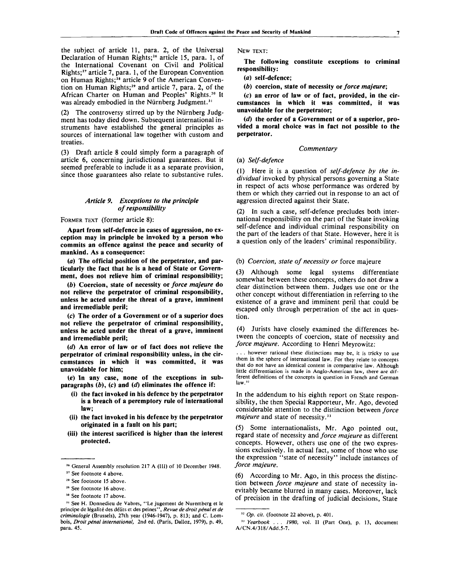the subject of article 11, para. 2, of the Universal Declaration of Human Rights;<sup>26</sup> article 15, para. 1, of the International Covenant on Civil and Political Rights;<sup>27</sup> article 7, para. 1, of the European Convention on Human Rights;<sup>28</sup> article 9 of the American Convention on Human Rights;<sup>29</sup> and article 7, para. 2, of the African Charter on Human and Peoples' Rights.<sup>30</sup> It was already embodied in the Nürnberg Judgment.<sup>31</sup>

(2) The controversy stirred up by the Niirnberg Judgment has today died down. Subsequent international instruments have established the general principles as sources of international law together with custom and treaties.

(3) Draft article 8 could simply form a paragraph of article 6, concerning jurisdictional guarantees. But it seemed preferable to include it as a separate provision, since those guarantees also relate to substantive rules.

# *Article 9. Exceptions to the principle of responsibility*

## FORMER TEXT (former article 8):

**Apart from self-defence in cases of aggression, no exception may in principle be invoked by a person who commits an offence against the peace and security of mankind. As a consequence:**

**(a) The official position of the perpetrator, and particularly the fact that he is a head of State or Government, does not relieve him of criminal responsibility;**

*(b)* **Coercion, state of necessity or** *force majeure* **do not relieve the perpetrator of criminal responsibility, unless he acted under the threat of a grave, imminent and irremediable peril;**

**(c) The order of a Government or of a superior does not relieve the perpetrator of criminal responsibility, unless he acted under the threat of a grave, imminent and irremediable peril;**

*{d)* **An error of law or of fact does not relieve the perpetrator of criminal responsibility unless, in the circumstances in which it was committed, it was unavoidable for him;**

**(e) In any case, none of the exceptions in sub** $paragnhs$   $(b)$ ,  $(c)$  and  $(d)$  eliminates the offence if:

- **(i) the fact invoked in his defence by the perpetrator is a breach of a peremptory rule of international law;**
- **(ii) the fact invoked in his defence by the perpetrator originated in a fault on his part;**
- **(iii) the interest sacrificed is higher than the interest protected.**

- <sup>29</sup> See footnote 16 above.
- 30 See footnote 17 above.

NEW TEXT:

**The following constitute exceptions to criminal responsibility:**

*(a)* **self-defence;**

*(b)* **coercion, state of necessity or** *force majeure;*

*(c)* **an error of law or of fact, provided, in the circumstances in which it was committed, it was unavoidable for the perpetrator;**

*(d)* **the order of a Government or of a superior, provided a moral choice was in fact not possible to the perpetrator.**

#### *Commentary*

# (a) *Self-defence*

(1) Here it is a question of *self-defence by the individual* invoked by physical persons governing a State in respect of acts whose performance was ordered by them or which they carried out in response to an act of aggression directed against their State.

(2) In such a case, self-defence precludes both international responsibility on the part of the State invoking self-defence and individual criminal responsibility on the part of the leaders of that State. However, here it is a question only of the leaders' criminal responsibility.

#### (b) *Coercion, state of necessity or* force majeure

(3) Although some legal systems differentiate somewhat between these concepts, others do not draw a clear distinction between them. Judges use one or the other concept without differentiation in referring to the existence of a grave and imminent peril that could be escaped only through perpetration of the act in question.

(4) Jurists have closely examined the differences between the concepts of coercion, state of necessity and *force majeure.* According to Henri Meyrowitz:

. . . however rational these distinctions may be, it is tricky to use them in the sphere of international law. For they relate to concepts that do not have an identical content in comparative law. Although little differentiation is made in Anglo-American law, there are different definitions of the concepts in question in French and German law<sup>3</sup>

In the addendum to his eighth report on State responsibility, the then Special Rapporteur, Mr. Ago, devoted considerable attention to the distinction between *force majeure* and state of necessity.<sup>33</sup>

(5) Some internationalists, Mr. Ago pointed out, regard state of necessity and *force majeure* as different concepts. However, others use one of the two expressions exclusively. In actual fact, some of those who use the expression ''state of necessity" include instances of *force majeure.*

(6) According to Mr. Ago, in this process the distinction between *force majeure* and state of necessity inevitably became blurred in many cases. Moreover, lack of precision in the drafting of judicial decisions, State

<sup>26</sup> General Assembly resolution 217 A (III) of 10 December 1948.

<sup>27</sup> See footnote 4 above.

<sup>&</sup>lt;sup>28</sup> See footnote 15 above.

<sup>31</sup> See H. Donnedieu de Vabres, "Le jugement de Nuremberg et le principe de legalite des delits et des peines", *Revue de droit penal et de criminologie* (Brussels), 27th year (1946-1947), p. 813; and C. Lombois, *Droit pénal international*, 2nd ed. (Paris, Dalloz, 1979), p. 49, para. 45.

<sup>32</sup>  *Op. cit.* (footnote 22 above), p. 401.

<sup>&</sup>lt;sup>33</sup> Yearbook . . . 1980, vol. Il (Part One), p. 13, document A/CN.4/318/Add.5-7.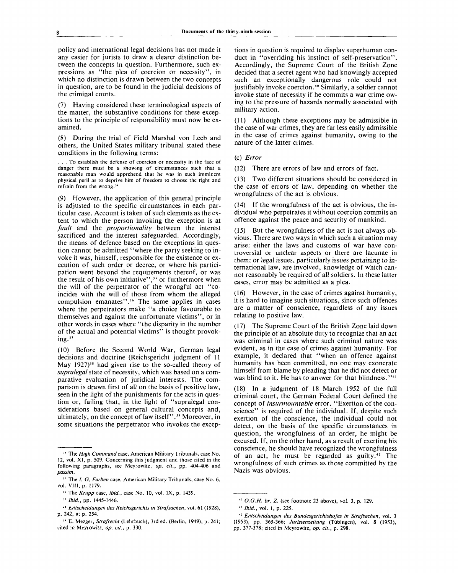policy and international legal decisions has not made it any easier for jurists to draw a clearer distinction between the concepts in question. Furthermore, such expressions as "the plea of coercion or necessity", in which no distinction is drawn between the two concepts in question, are to be found in the judicial decisions of the criminal courts.

(7) Having considered these terminological aspects of the matter, the substantive conditions for these exceptions to the principle of responsibility must now be examined.

(8) During the trial of Field Marshal von Leeb and others, the United States military tribunal stated these conditions in the following terms:

. . . To establish the defense of coercion or necessity in the face of danger there must be a showing of circumstances such that a reasonable man would apprehend that he was in such imminent physical peril as to deprive him of freedom to choose the right and refrain from the wrong.<sup>34</sup>

(9) However, the application of this general principle is adjusted to the specific circumstances in each particular case. Account is taken of such elements as the extent to which the person invoking the exception is at *fault* and the *proportionality* between the interest sacrificed and the interest safeguarded. Accordingly, the means of defence based on the exceptions in question cannot be admitted "where the party seeking to invoke it was, himself, responsible for the existence or execution of such order or decree, or where his participation went beyond the requirements thereof, or was the result of his own initiative",<sup>35</sup> or furthermore when the will of the perpetrator of the wrongful act "coincides with the will of those from whom the alleged compulsion emanates".<sup>36</sup> The same applies in cases where the perpetrators make "a choice favourable to themselves and against the unfortunate victims", or in other words in cases where "the disparity in the number of the actual and potential victims" is thought provoking.<sup>37</sup>

(10) Before the Second World War, German legal decisions and doctrine (Reichsgericht judgment of 11 May 1927)<sup>38</sup> had given rise to the so-called theory of *supralegal* state of necessity, which was based on a comparative evaluation of juridical interests. The comparison is drawn first of all on the basis of positive law, seen in the light of the punishments for the acts in question or, failing that, in the light of "supralegal considerations based on general cultural concepts and, ultimately, on the concept of law itself".<sup>39</sup> Moreover, in some situations the perpetrator who invokes the exceptions in question is required to display superhuman conduct in "overriding his instinct of self-preservation". Accordingly, the Supreme Court of the British Zone decided that a secret agent who had knowingly accepted such an exceptionally dangerous role could not justifiably invoke coercion.<sup>40</sup> Similarly, a soldier cannot invoke state of necessity if he commits a war crime owing to the pressure of hazards normally associated with military action.

(11) Although these exceptions may be admissible in the case of war crimes, they are far less easily admissible in the case of crimes against humanity, owing to the nature of the latter crimes.

#### (c) Error

(12) There are errors of law and errors of fact.

(13) Two different situations should be considered in the case of errors of law, depending on whether the wrongfulness of the act is obvious.

(14) If the wrongfulness of the act is obvious, the individual who perpetrates it without coercion commits an offence against the peace and security of mankind.

(15) But the wrongfulness of the act is not always obvious. There are two ways in which such a situation may arise: either the laws and customs of war have controversial or unclear aspects or there are lacunae in them; or legal issues, particularly issues pertaining to international law, are involved, knowledge of which cannot reasonably be required of all soldiers. In these latter cases, error may be admitted as a plea.

(16) However, in the case of crimes against humanity, it is hard to imagine such situations, since such offences are a matter of conscience, regardless of any issues relating to positive law.

(17) The Supreme Court of the British Zone laid down the principle of an absolute duty to recognize that an act was criminal in cases where such criminal nature was evident, as in the case of crimes against humanity. For example, it declared that "when an offence against humanity has been committed, no one may exonerate himself from blame by pleading that he did not detect or was blind to it. He has to answer for that blindness."<sup>41</sup>

(18) In a judgment of 18 March 1952 of the full criminal court, the German Federal Court defined the concept of *insurmountable* error. "Exertion of the conscience" is required of the individual. If, despite such exertion of the conscience, the individual could not detect, on the basis of the specific circumstances in question, the wrongfulness of an order, he might be excused. If, on the other hand, as a result of exerting his conscience, he should have recognized the wrongfulness of an act, he must be regarded as guilty.<sup>42</sup> The wrongfulness of such crimes as those committed by the Nazis was obvious.

<sup>34</sup> The *High Command case,* American Military Tribunals, case No. 12, vol. XI, p. 509. Concerning this judgment and those cited in the following paragraphs, see Meyrowitz, *op. cit.,* pp. 404-406 and *passim.*

<sup>&</sup>lt;sup>35</sup> The *I. G. Farben* case, American Military Tribunals, case No. 6, vol. VIM, p. 1179.

<sup>36</sup> The *Krupp* case, *ibid.,* case No. 10, vol. IX, p. 1439.

<sup>37</sup>  *Ibid.,* pp. 1445-1446.

<sup>38</sup>  *Entscheidungen des Reichsgerichts in Strafsachen,* vol. 61 (1928), p. 242, at p. 254.

<sup>39</sup> E. Mezger, *Strafrecht* (Lehrbuch), 3rd ed. (Berlin, 1949), p. 241; cited in Meyrowitz, *op. cit.,* p. 330.

<sup>40</sup>  *O.G.H. br. Z.* (see footnote 23 above), vol. 3, p. 129.

<sup>41</sup>  *Ibid.,* vol. 1, p. 225.

<sup>42</sup>  *Entscheidungen des Bundesgerichtshofes in Strafsachen,* vol. 3 (1953), pp. 365-366; *Juristenzeitung* (Tubingen), vol. 8 (1953), pp. 377-378; cited in Meyrowitz, *op. cit.,* p. 298.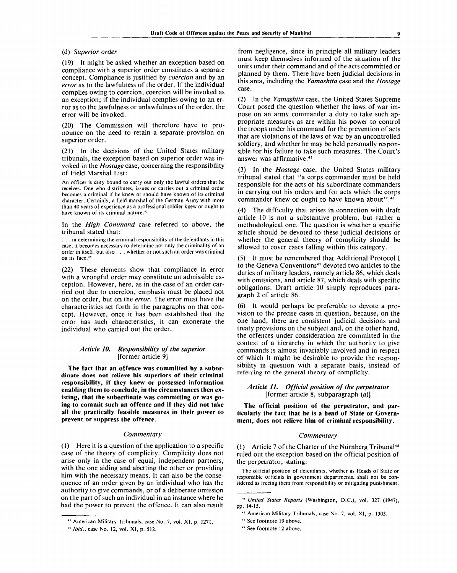#### (d) *Superior order*

(19) It might be asked whether an exception based on compliance with a superior order constitutes a separate concept. Compliance is justified by *coercion* and by an *error* as to the lawfulness of the order. If the individual complies owing to coercion, coercion will be invoked as an exception; if the individual complies owing to an error as to the lawfulness or unlawfulness of the order, the error will be invoked.

(20) The Commission will therefore have to pronounce on the need to retain a separate provision on superior order.

(21) In the decisions of the United States military tribunals, the exception based on superior order was invoked in the *Hostage* case, concerning the responsibility of Field Marshal List:

An officer is duty bound to carry out only the lawful orders that he receives. One who distributes, issues or carries out a criminal order becomes a criminal if he knew or should have known of its criminal character. Certainly, a field marshal of the German Army with more than 40 years of experience as a professional soldier knew or ought to have known of its criminal nature.<sup>43</sup>

In the *High Command* case referred to above, the tribunal stated that:

. . . in determining the criminal responsibility of the defendants in this case, it becomes necessary to determine not only the criminality of an order in itself, but also . . . whether or not such an order was criminal on its face.<sup>44</sup>

(22) These elements show that compliance in error with a wrongful order may constitute an admissible exception. However, here, as in the case of an order carried out due to coercion, emphasis must be placed not on the order, but on the *error.* The error must have the characteristics set forth in the paragraphs on that concept. However, once it has been established that the error has such characteristics, it can exonerate the individual who carried out the order.

# *Article 10. Responsibility of the superior* [former article 9]

**The fact that an offence was committed by a subordinate does not relieve his superiors of their criminal responsibility, if they knew or possessed information enabling them to conclude, in the circumstances then existing, that the subordinate was committing or was going to commit such an offence and if they did not take all the practically feasible measures in their power to prevent or suppress the offence.**

#### *Commentary*

(1) Here it is a question of the application to a specific case of the theory of complicity. Complicity does not arise only in the case of equal, independent partners, with the one aiding and abetting the other or providing him with the necessary means. It can also be the consequence of an order given by an individual who has the authority to give commands, or of a deliberate omission on the part of such an individual in an instance where he had the power to prevent the offence. It can also result

from negligence, since in principle all military leaders must keep themselves informed of the situation of the units under their command and of the acts committed or planned by them. There have been judicial decisions in this area, including the *Yamashita* case and the *Hostage* case.

(2) In the *Yamashita* case, the United States Supreme Court posed the question whether the laws of war impose on an army commander a duty to take such appropriate measures as are within his power to control the troops under his command for the prevention of acts that are violations of the laws of war by an uncontrolled soldiery, and whether he may be held personally responsible for his failure to take such measures. The Court's answer was affirmative.<sup>45</sup>

(3) In the *Hostage* case, the United States military tribunal stated that "a corps commander must be held responsible for the acts of his subordinate commanders in carrying out his orders and for acts which the corps commander knew or ought to have known about".<sup>46</sup>

(4) The difficulty that arises in connection with draft article 10 is not a substantive problem, but rather a methodological one. The question is whether a specific article should be devoted to these judicial decisions or whether the general theory of complicity should be allowed to cover cases falling within this category.

It must be remembered that Additional Protocol I to the Geneva Conventions<sup>47</sup> devoted two articles to the duties of military leaders, namely article 86, which deals with omissions, and article 87, which deals with specific obligations. Draft article 10 simply reproduces paragraph 2 of article 86.

(6) It would perhaps be preferable to devote a provision to the precise cases in question, because, on the one hand, there are consistent judicial decisions and treaty provisions on the subject and, on the other hand, the offences under consideration are committed in the context of a hierarchy in which the authority to give commands is almost invariably involved and in respect of which it might be desirable to provide the responsibility in question with a separate basis, instead of referring to the general theory of complicity.

# *Article 1L Official position of the perpetrator* [former article 8, subparagraph *(a)]*

**The official position of the perpetrator, and particularly the fact that he is a head of State or Government, does not relieve him of criminal responsibility.**

#### *Commentary*

(1) Article 7 of the Charter of the Niirnberg Tribunal<sup>48</sup> ruled out the exception based on the official position of the perpetrator, stating:

The official position of defendants, whether as Heads of State or responsible officials in government departments, shall not be considered as freeing them from responsibility or mitigating punishment.

<sup>43</sup> American Military Tribunals, case No. 7, vol. XI, p. 1271.

<sup>44</sup>  *Ibid.,* case No. 12, vol. XI, p. 512.

<sup>45</sup>  *United Stales Reports* (Washington, D.C.), vol. 327 (1947), pp. 14-15.

<sup>46</sup> American Military Tribunals, case No. 7, vol. XI, p. 1303.

<sup>47</sup> See footnote 19 above.

<sup>48</sup> See footnote 12 above.